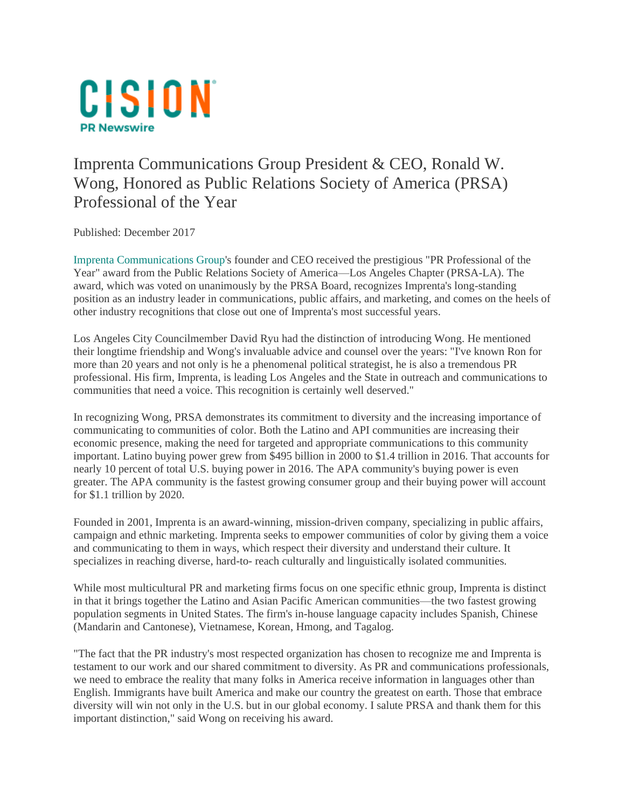

## Imprenta Communications Group President & CEO, Ronald W. Wong, Honored as Public Relations Society of America (PRSA) Professional of the Year

Published: December 2017

Imprenta Communications Group's founder and CEO received the prestigious "PR Professional of the Year" award from the Public Relations Society of America—Los Angeles Chapter (PRSA-LA). The award, which was voted on unanimously by the PRSA Board, recognizes Imprenta's long-standing position as an industry leader in communications, public affairs, and marketing, and comes on the heels of other industry recognitions that close out one of Imprenta's most successful years.

Los Angeles City Councilmember David Ryu had the distinction of introducing Wong. He mentioned their longtime friendship and Wong's invaluable advice and counsel over the years: "I've known Ron for more than 20 years and not only is he a phenomenal political strategist, he is also a tremendous PR professional. His firm, Imprenta, is leading Los Angeles and the State in outreach and communications to communities that need a voice. This recognition is certainly well deserved."

In recognizing Wong, PRSA demonstrates its commitment to diversity and the increasing importance of communicating to communities of color. Both the Latino and API communities are increasing their economic presence, making the need for targeted and appropriate communications to this community important. Latino buying power grew from \$495 billion in 2000 to \$1.4 trillion in 2016. That accounts for nearly 10 percent of total U.S. buying power in 2016. The APA community's buying power is even greater. The APA community is the fastest growing consumer group and their buying power will account for \$1.1 trillion by 2020.

Founded in 2001, Imprenta is an award-winning, mission-driven company, specializing in public affairs, campaign and ethnic marketing. Imprenta seeks to empower communities of color by giving them a voice and communicating to them in ways, which respect their diversity and understand their culture. It specializes in reaching diverse, hard-to- reach culturally and linguistically isolated communities.

While most multicultural PR and marketing firms focus on one specific ethnic group, Imprenta is distinct in that it brings together the Latino and Asian Pacific American communities—the two fastest growing population segments in United States. The firm's in-house language capacity includes Spanish, Chinese (Mandarin and Cantonese), Vietnamese, Korean, Hmong, and Tagalog.

"The fact that the PR industry's most respected organization has chosen to recognize me and Imprenta is testament to our work and our shared commitment to diversity. As PR and communications professionals, we need to embrace the reality that many folks in America receive information in languages other than English. Immigrants have built America and make our country the greatest on earth. Those that embrace diversity will win not only in the U.S. but in our global economy. I salute PRSA and thank them for this important distinction," said Wong on receiving his award.